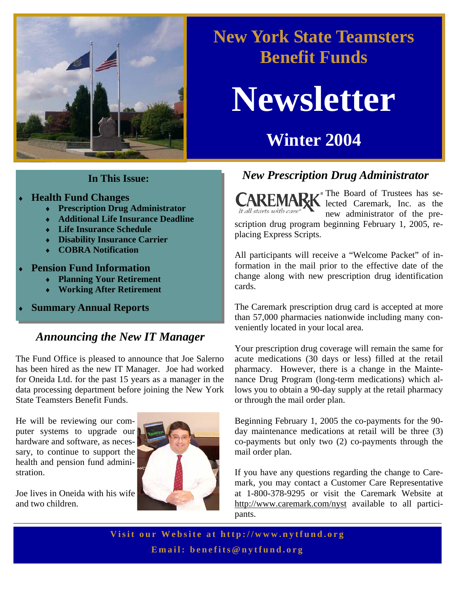

# **New York State Teamsters Benefit Funds**

# **Newsletter**

# **Winter 2004**

- **Health Fund Changes** 
	- ♦ **Prescription Drug Administrator**
	- ♦ **Additional Life Insurance Deadline**
	- ♦ **Life Insurance Schedule**
	- ♦ **Disability Insurance Carrier**
	- ♦ **COBRA Notification**
- **Pension Fund Information** 
	- ♦ **Planning Your Retirement**
	- **Working After Retirement**
- **Summary Annual Reports**

# *Announcing the New IT Manager*

The Fund Office is pleased to announce that Joe Salerno has been hired as the new IT Manager. Joe had worked for Oneida Ltd. for the past 15 years as a manager in the data processing department before joining the New York State Teamsters Benefit Funds.

He will be reviewing our computer systems to upgrade our hardware and software, as necessary, to continue to support the health and pension fund administration.

Joe lives in Oneida with his wife and two children.



# *New Prescription Drug Administrator* **In This Issue:**

The Board of Trustees has selected Caremark, Inc. as the new administrator of the prescription drug program beginning February 1, 2005, replacing Express Scripts.

All participants will receive a "Welcome Packet" of information in the mail prior to the effective date of the change along with new prescription drug identification cards.

The Caremark prescription drug card is accepted at more than 57,000 pharmacies nationwide including many conveniently located in your local area.

Your prescription drug coverage will remain the same for acute medications (30 days or less) filled at the retail pharmacy. However, there is a change in the Maintenance Drug Program (long-term medications) which allows you to obtain a 90-day supply at the retail pharmacy or through the mail order plan.

Beginning February 1, 2005 the co-payments for the 90 day maintenance medications at retail will be three (3) co-payments but only two (2) co-payments through the mail order plan.

If you have any questions regarding the change to Caremark, you may contact a Customer Care Representative at 1-800-378-9295 or visit the Caremark Website at http://www.caremark.com/nyst available to all participants.

**Visit our Website at h ttp://www.nytfund.org Email: benefits@nytfund.org**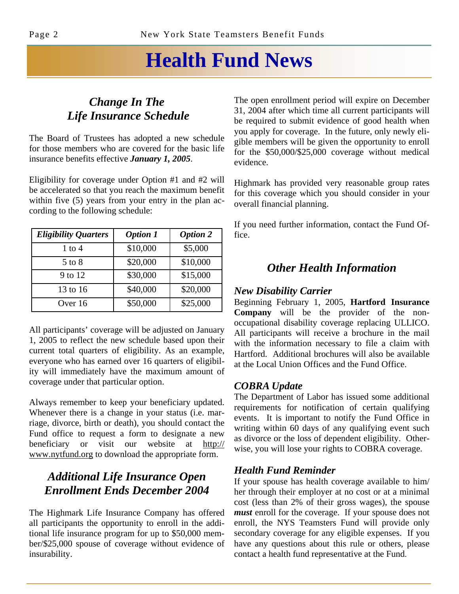# **Health Fund News**

## *Change In The Life Insurance Schedule*

The Board of Trustees has adopted a new schedule for those members who are covered for the basic life insurance benefits effective *January 1, 2005*.

Eligibility for coverage under Option #1 and #2 will be accelerated so that you reach the maximum benefit within five (5) years from your entry in the plan according to the following schedule:

| <b>Eligibility Quarters</b> | <b>Option 1</b> | <b>Option 2</b> |
|-----------------------------|-----------------|-----------------|
| $1$ to $4$                  | \$10,000        | \$5,000         |
| $5$ to $8$                  | \$20,000        | \$10,000        |
| 9 to 12                     | \$30,000        | \$15,000        |
| 13 to 16                    | \$40,000        | \$20,000        |
| Over 16                     | \$50,000        | \$25,000        |

All participants' coverage will be adjusted on January 1, 2005 to reflect the new schedule based upon their current total quarters of eligibility. As an example, everyone who has earned over 16 quarters of eligibility will immediately have the maximum amount of coverage under that particular option.

Always remember to keep your beneficiary updated. Whenever there is a change in your status (i.e. marriage, divorce, birth or death), you should contact the Fund office to request a form to designate a new beneficiary or visit our website at http:// www.nytfund.org to download the appropriate form.

# *Additional Life Insurance Open Enrollment Ends December 2004*

The Highmark Life Insurance Company has offered all participants the opportunity to enroll in the additional life insurance program for up to \$50,000 member/\$25,000 spouse of coverage without evidence of insurability.

The open enrollment period will expire on December 31, 2004 after which time all current participants will be required to submit evidence of good health when you apply for coverage. In the future, only newly eligible members will be given the opportunity to enroll for the \$50,000/\$25,000 coverage without medical evidence.

Highmark has provided very reasonable group rates for this coverage which you should consider in your overall financial planning.

If you need further information, contact the Fund Office.

## *Other Health Information*

### *New Disability Carrier*

Beginning February 1, 2005, **Hartford Insurance Company** will be the provider of the nonoccupational disability coverage replacing ULLICO. All participants will receive a brochure in the mail with the information necessary to file a claim with Hartford. Additional brochures will also be available at the Local Union Offices and the Fund Office.

## *COBRA Update*

The Department of Labor has issued some additional requirements for notification of certain qualifying events. It is important to notify the Fund Office in writing within 60 days of any qualifying event such as divorce or the loss of dependent eligibility. Otherwise, you will lose your rights to COBRA coverage.

## *Health Fund Reminder*

If your spouse has health coverage available to him/ her through their employer at no cost or at a minimal cost (less than 2% of their gross wages), the spouse *must* enroll for the coverage. If your spouse does not enroll, the NYS Teamsters Fund will provide only secondary coverage for any eligible expenses. If you have any questions about this rule or others, please contact a health fund representative at the Fund.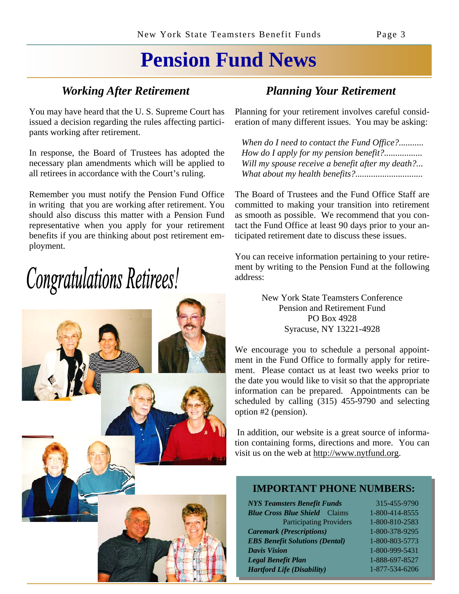# **Pension Fund News**

You may have heard that the U. S. Supreme Court has issued a decision regarding the rules affecting participants working after retirement.

In response, the Board of Trustees has adopted the necessary plan amendments which will be applied to all retirees in accordance with the Court's ruling.

Remember you must notify the Pension Fund Office in writing that you are working after retirement. You should also discuss this matter with a Pension Fund representative when you apply for your retirement benefits if you are thinking about post retirement employment.

# **Congratulations Retirees!**



# *Working After Retirement Planning Your Retirement*

Planning for your retirement involves careful consideration of many different issues. You may be asking:

 *When do I need to contact the Fund Office?........... How do I apply for my pension benefit?................. Will my spouse receive a benefit after my death?... What about my health benefits?..............................*

The Board of Trustees and the Fund Office Staff are committed to making your transition into retirement as smooth as possible. We recommend that you contact the Fund Office at least 90 days prior to your anticipated retirement date to discuss these issues.

You can receive information pertaining to your retirement by writing to the Pension Fund at the following address:

> New York State Teamsters Conference Pension and Retirement Fund PO Box 4928 Syracuse, NY 13221-4928

We encourage you to schedule a personal appointment in the Fund Office to formally apply for retirement. Please contact us at least two weeks prior to the date you would like to visit so that the appropriate information can be prepared. Appointments can be scheduled by calling (315) 455-9790 and selecting option #2 (pension).

 In addition, our website is a great source of information containing forms, directions and more. You can visit us on the web at http://www.nytfund.org.

## **IMPORTANT PHONE NUMBERS:**

*NYS Teamsters Benefit Funds* 315-455-9790 *Blue Cross Blue Shield* Claims 1-800-414-8555 Participating Providers 1-800-810-2583 *Caremark (Prescriptions)* 1-800-378-9295 *EBS Benefit Solutions (Dental)* 1-800-803-5773 *Davis Vision* 1-800-999-5431 *Legal Benefit Plan* 1-888-697-8527 *Hartford Life (Disability)* 1-877-534-6206